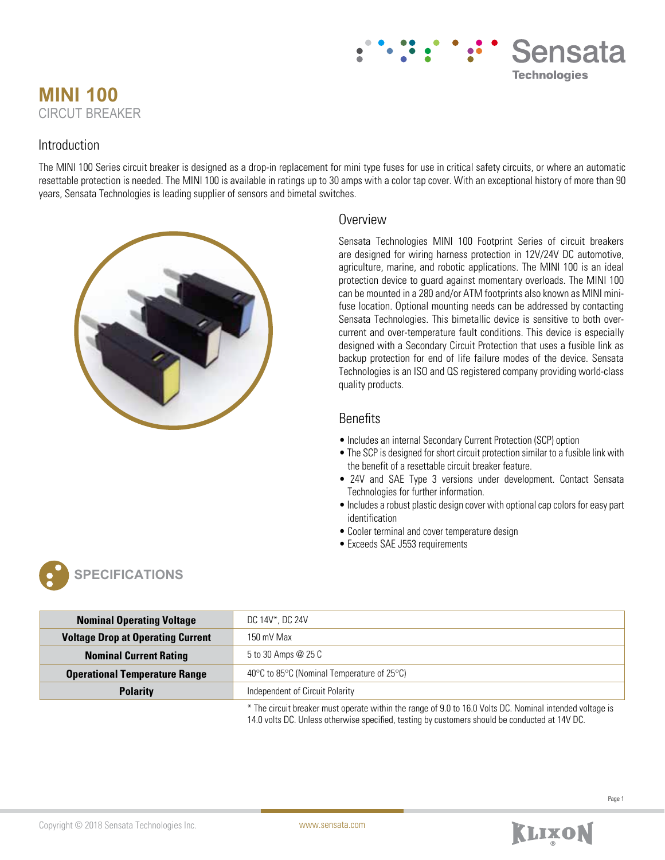# **MINI 100** CIRCUT BREAKER

### Introduction

The MINI 100 Series circuit breaker is designed as a drop-in replacement for mini type fuses for use in critical safety circuits, or where an automatic resettable protection is needed. The MINI 100 is available in ratings up to 30 amps with a color tap cover. With an exceptional history of more than 90 years, Sensata Technologies is leading supplier of sensors and bimetal switches.



### **Overview**

Sensata Technologies MINI 100 Footprint Series of circuit breakers are designed for wiring harness protection in 12V/24V DC automotive, agriculture, marine, and robotic applications. The MINI 100 is an ideal protection device to guard against momentary overloads. The MINI 100 can be mounted in a 280 and/or ATM footprints also known as MINI minifuse location. Optional mounting needs can be addressed by contacting Sensata Technologies. This bimetallic device is sensitive to both overcurrent and over-temperature fault conditions. This device is especially designed with a Secondary Circuit Protection that uses a fusible link as backup protection for end of life failure modes of the device. Sensata Technologies is an ISO and QS registered company providing world-class quality products.

Sensata

**Technologies** 

### **Benefits**

- Includes an internal Secondary Current Protection (SCP) option
- The SCP is designed for short circuit protection similar to a fusible link with the benefit of a resettable circuit breaker feature.
- 24V and SAE Type 3 versions under development. Contact Sensata Technologies for further information.
- Includes a robust plastic design cover with optional cap colors for easy part identification
- Cooler terminal and cover temperature design
- Exceeds SAE J553 requirements



| <b>Nominal Operating Voltage</b>         | DC 14V*, DC 24V                            |
|------------------------------------------|--------------------------------------------|
| <b>Voltage Drop at Operating Current</b> | $150 \text{ mV}$ Max                       |
| <b>Nominal Current Rating</b>            | 5 to 30 Amps @ 25 C                        |
| <b>Operational Temperature Range</b>     | 40°C to 85°C (Nominal Temperature of 25°C) |
| <b>Polarity</b>                          | Independent of Circuit Polarity            |
|                                          |                                            |

\* The circuit breaker must operate within the range of 9.0 to 16.0 Volts DC. Nominal intended voltage is 14.0 volts DC. Unless otherwise specified, testing by customers should be conducted at 14V DC.

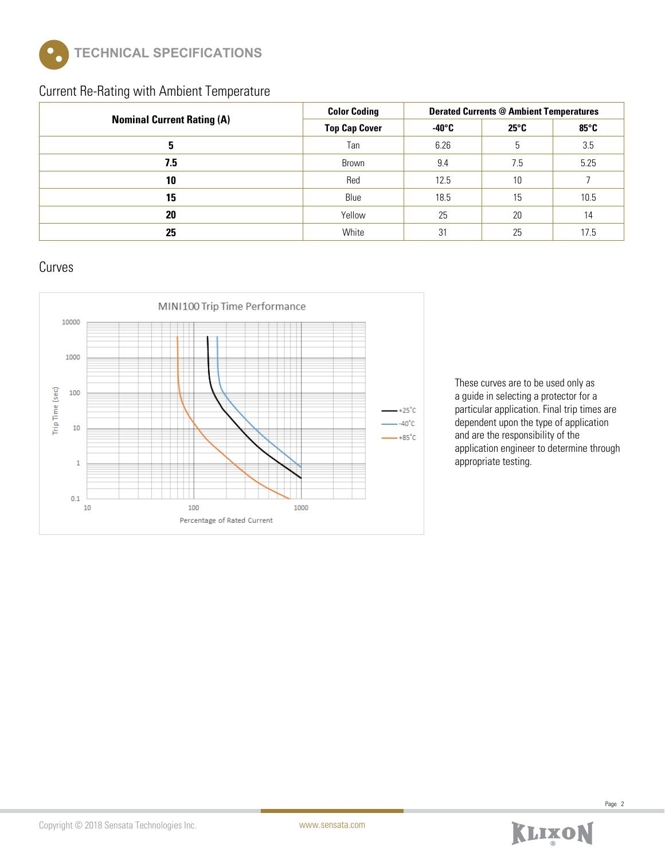

### Current Re-Rating with Ambient Temperature

|                                   | <b>Color Coding</b>  | <b>Derated Currents @ Ambient Temperatures</b> |                |                |  |
|-----------------------------------|----------------------|------------------------------------------------|----------------|----------------|--|
| <b>Nominal Current Rating (A)</b> | <b>Top Cap Cover</b> | $-40^{\circ}$ C                                | $25^{\circ}$ C | $85^{\circ}$ C |  |
| 5                                 | Tan                  | 6.26                                           | 5              | 3.5            |  |
| 7.5                               | Brown                | 9.4                                            | 7.5            | 5.25           |  |
| 10                                | Red                  | 12.5                                           | 10             |                |  |
| 15                                | Blue                 | 18.5                                           | 15             | 10.5           |  |
| 20                                | Yellow               | 25                                             | 20             | 14             |  |
| 25                                | White                | 31                                             | 25             | 17.5           |  |

## Curves



These curves are to be used only as a guide in selecting a protector for a particular application. Final trip times are dependent upon the type of application and are the responsibility of the application engineer to determine through appropriate testing.

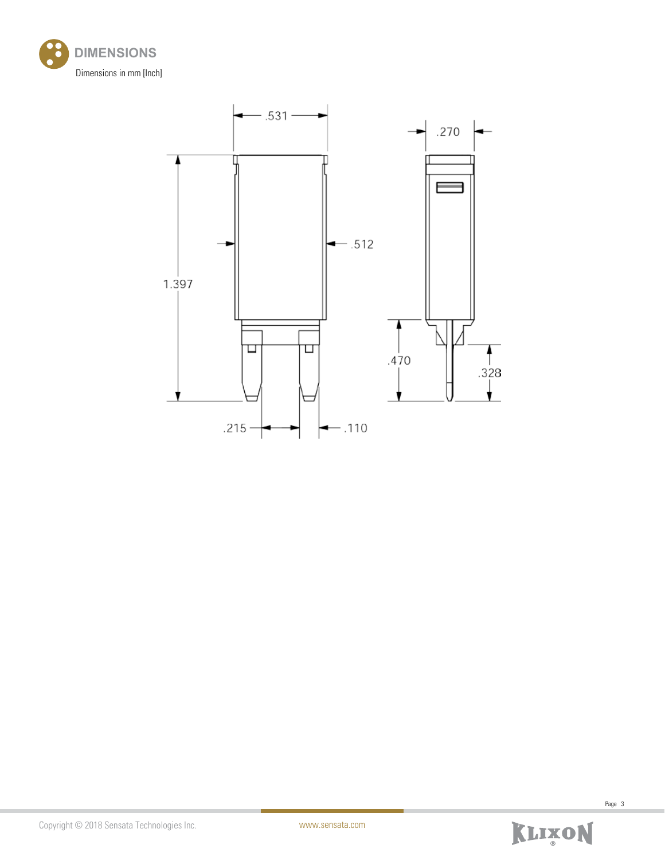